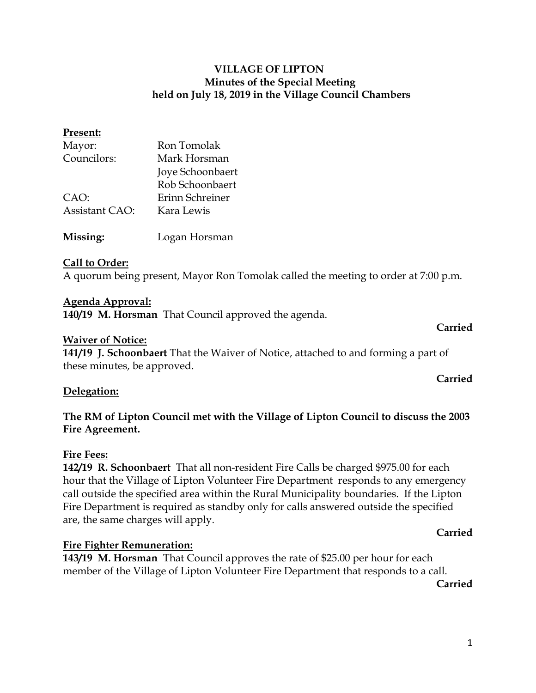## **VILLAGE OF LIPTON Minutes of the Special Meeting held on July 18, 2019 in the Village Council Chambers**

# **Present:** Mayor: Ron Tomolak Councilors: Mark Horsman Joye Schoonbaert Rob Schoonbaert CAO: Erinn Schreiner Assistant CAO: Kara Lewis **Missing:** Logan Horsman

## **Call to Order:**

A quorum being present, Mayor Ron Tomolak called the meeting to order at 7:00 p.m.

#### **Agenda Approval:**

**140/19 M. Horsman** That Council approved the agenda.

#### **Carried**

**Carried**

#### **Waiver of Notice:**

**141/19 J. Schoonbaert** That the Waiver of Notice, attached to and forming a part of these minutes, be approved.

#### **Delegation:**

## **The RM of Lipton Council met with the Village of Lipton Council to discuss the 2003 Fire Agreement.**

#### **Fire Fees:**

**142/19 R. Schoonbaert** That all non-resident Fire Calls be charged \$975.00 for each hour that the Village of Lipton Volunteer Fire Department responds to any emergency call outside the specified area within the Rural Municipality boundaries. If the Lipton Fire Department is required as standby only for calls answered outside the specified are, the same charges will apply.

## **Carried**

#### **Fire Fighter Remuneration:**

**143/19 M. Horsman** That Council approves the rate of \$25.00 per hour for each member of the Village of Lipton Volunteer Fire Department that responds to a call.

**Carried**